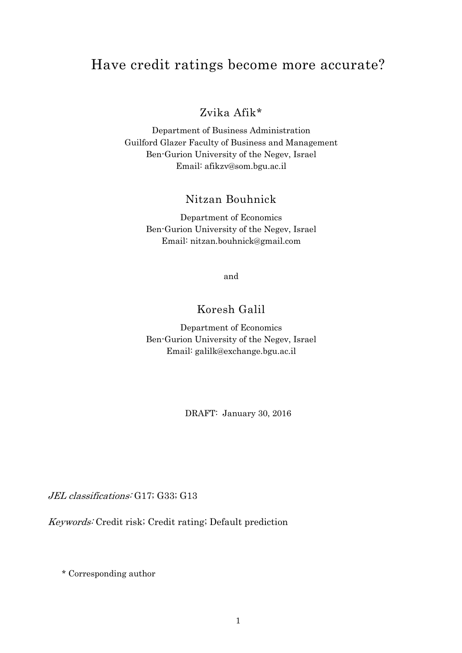# Have credit ratings become more accurate?

# Zvika Afik\*

Department of Business Administration Guilford Glazer Faculty of Business and Management Ben-Gurion University of the Negev, Israel Email: afikzv@som.bgu.ac.il

## Nitzan Bouhnick

Department of Economics Ben-Gurion University of the Negev, Israel Email: nitzan.bouhnick@gmail.com

and

## Koresh Galil

Department of Economics Ben-Gurion University of the Negev, Israel Email: galilk@exchange.bgu.ac.il

DRAFT: January 30, 2016

JEL classifications: G17; G33; G13

Keywords: Credit risk; Credit rating; Default prediction

\* Corresponding author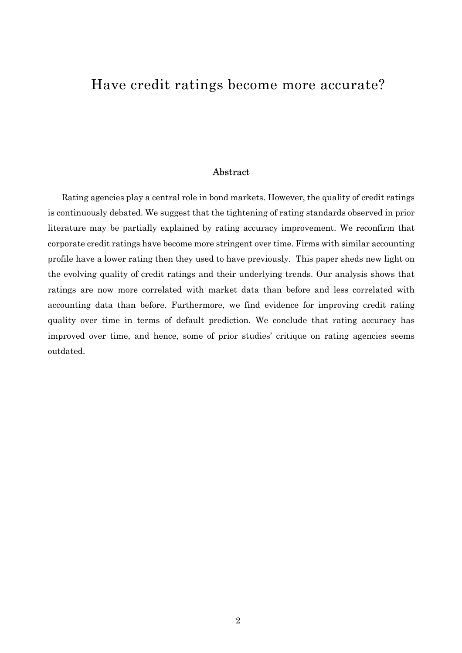# Have credit ratings become more accurate?

#### Abstract

Rating agencies play a central role in bond markets. However, the quality of credit ratings is continuously debated. We suggest that the tightening of rating standards observed in prior literature may be partially explained by rating accuracy improvement. We reconfirm that corporate credit ratings have become more stringent over time. Firms with similar accounting profile have a lower rating then they used to have previously. This paper sheds new light on the evolving quality of credit ratings and their underlying trends. Our analysis shows that ratings are now more correlated with market data than before and less correlated with accounting data than before. Furthermore, we find evidence for improving credit rating quality over time in terms of default prediction. We conclude that rating accuracy has improved over time, and hence, some of prior studies' critique on rating agencies seems outdated.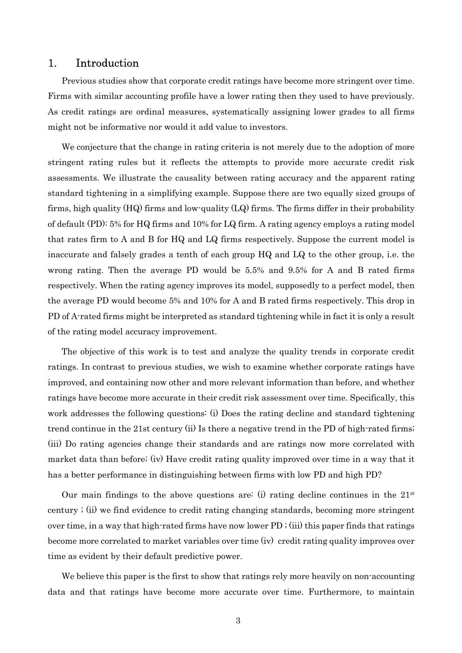## 1. Introduction

Previous studies show that corporate credit ratings have become more stringent over time. Firms with similar accounting profile have a lower rating then they used to have previously. As credit ratings are ordinal measures, systematically assigning lower grades to all firms might not be informative nor would it add value to investors.

We conjecture that the change in rating criteria is not merely due to the adoption of more stringent rating rules but it reflects the attempts to provide more accurate credit risk assessments. We illustrate the causality between rating accuracy and the apparent rating standard tightening in a simplifying example. Suppose there are two equally sized groups of firms, high quality (HQ) firms and low-quality (LQ) firms. The firms differ in their probability of default (PD): 5% for HQ firms and 10% for LQ firm. A rating agency employs a rating model that rates firm to A and B for HQ and LQ firms respectively. Suppose the current model is inaccurate and falsely grades a tenth of each group HQ and LQ to the other group, i.e. the wrong rating. Then the average PD would be 5.5% and 9.5% for A and B rated firms respectively. When the rating agency improves its model, supposedly to a perfect model, then the average PD would become 5% and 10% for A and B rated firms respectively. This drop in PD of A-rated firms might be interpreted as standard tightening while in fact it is only a result of the rating model accuracy improvement.

The objective of this work is to test and analyze the quality trends in corporate credit ratings. In contrast to previous studies, we wish to examine whether corporate ratings have improved, and containing now other and more relevant information than before, and whether ratings have become more accurate in their credit risk assessment over time. Specifically, this work addresses the following questions: (i) Does the rating decline and standard tightening trend continue in the 21st century (ii) Is there a negative trend in the PD of high-rated firms; (iii) Do rating agencies change their standards and are ratings now more correlated with market data than before; (iv) Have credit rating quality improved over time in a way that it has a better performance in distinguishing between firms with low PD and high PD?

Our main findings to the above questions are: (i) rating decline continues in the  $21<sup>st</sup>$ century ; (ii) we find evidence to credit rating changing standards, becoming more stringent over time, in a way that high-rated firms have now lower PD ; (iii) this paper finds that ratings become more correlated to market variables over time (iv) credit rating quality improves over time as evident by their default predictive power.

We believe this paper is the first to show that ratings rely more heavily on non-accounting data and that ratings have become more accurate over time. Furthermore, to maintain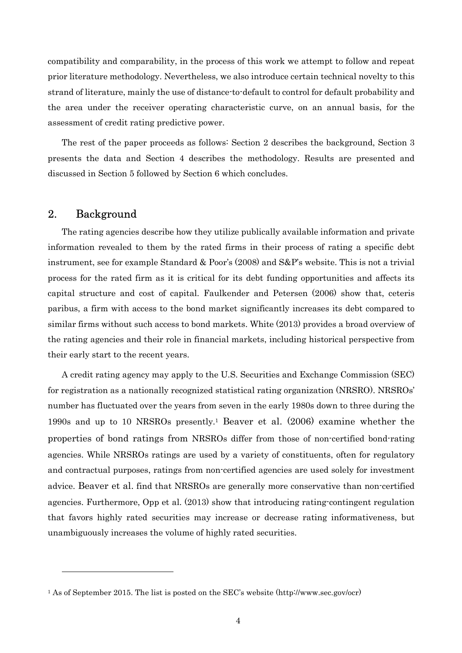compatibility and comparability, in the process of this work we attempt to follow and repeat prior literature methodology. Nevertheless, we also introduce certain technical novelty to this strand of literature, mainly the use of distance-to-default to control for default probability and the area under the receiver operating characteristic curve, on an annual basis, for the assessment of credit rating predictive power.

The rest of the paper proceeds as follows: Section 2 describes the background, Section 3 presents the data and Section 4 describes the methodology. Results are presented and discussed in Section 5 followed by Section 6 which concludes.

## 2. Background

 $\overline{a}$ 

The rating agencies describe how they utilize publically available information and private information revealed to them by the rated firms in their process of rating a specific debt instrument, see for example Standard & Poor's (2008) and S&P's website. This is not a trivial process for the rated firm as it is critical for its debt funding opportunities and affects its capital structure and cost of capital. Faulkender and Petersen (2006) show that, ceteris paribus, a firm with access to the bond market significantly increases its debt compared to similar firms without such access to bond markets. White (2013) provides a broad overview of the rating agencies and their role in financial markets, including historical perspective from their early start to the recent years.

A credit rating agency may apply to the U.S. Securities and Exchange Commission (SEC) for registration as a nationally recognized statistical rating organization (NRSRO). NRSROs' number has fluctuated over the years from seven in the early 1980s down to three during the 1990s and up to 10 NRSROs presently.<sup>1</sup> Beaver et al. (2006) examine whether the properties of bond ratings from NRSROs differ from those of non-certified bond-rating agencies. While NRSROs ratings are used by a variety of constituents, often for regulatory and contractual purposes, ratings from non-certified agencies are used solely for investment advice. Beaver et al. find that NRSROs are generally more conservative than non-certified agencies. Furthermore, Opp et al. (2013) show that introducing rating-contingent regulation that favors highly rated securities may increase or decrease rating informativeness, but unambiguously increases the volume of highly rated securities.

<sup>1</sup> As of September 2015. The list is posted on the SEC's website (http://www.sec.gov/ocr)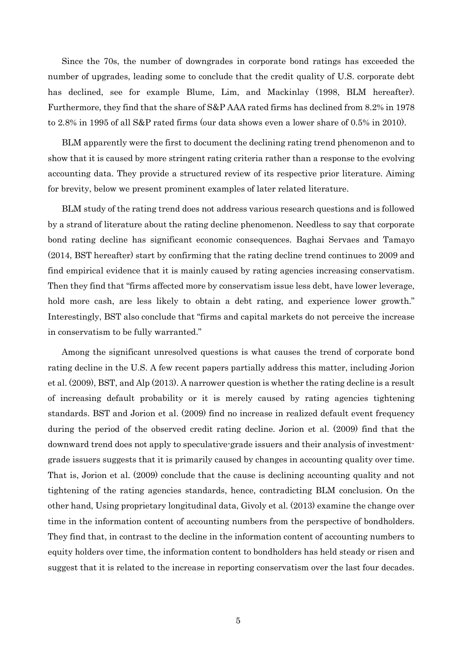Since the 70s, the number of downgrades in corporate bond ratings has exceeded the number of upgrades, leading some to conclude that the credit quality of U.S. corporate debt has declined, see for example Blume, Lim, and Mackinlay (1998, BLM hereafter). Furthermore, they find that the share of S&P AAA rated firms has declined from 8.2% in 1978 to 2.8% in 1995 of all S&P rated firms (our data shows even a lower share of 0.5% in 2010).

BLM apparently were the first to document the declining rating trend phenomenon and to show that it is caused by more stringent rating criteria rather than a response to the evolving accounting data. They provide a structured review of its respective prior literature. Aiming for brevity, below we present prominent examples of later related literature.

BLM study of the rating trend does not address various research questions and is followed by a strand of literature about the rating decline phenomenon. Needless to say that corporate bond rating decline has significant economic consequences. Baghai Servaes and Tamayo (2014, BST hereafter) start by confirming that the rating decline trend continues to 2009 and find empirical evidence that it is mainly caused by rating agencies increasing conservatism. Then they find that "firms affected more by conservatism issue less debt, have lower leverage, hold more cash, are less likely to obtain a debt rating, and experience lower growth." Interestingly, BST also conclude that "firms and capital markets do not perceive the increase in conservatism to be fully warranted."

Among the significant unresolved questions is what causes the trend of corporate bond rating decline in the U.S. A few recent papers partially address this matter, including Jorion et al. (2009), BST, and Alp (2013). A narrower question is whether the rating decline is a result of increasing default probability or it is merely caused by rating agencies tightening standards. BST and Jorion et al. (2009) find no increase in realized default event frequency during the period of the observed credit rating decline. Jorion et al. (2009) find that the downward trend does not apply to speculative-grade issuers and their analysis of investmentgrade issuers suggests that it is primarily caused by changes in accounting quality over time. That is, Jorion et al. (2009) conclude that the cause is declining accounting quality and not tightening of the rating agencies standards, hence, contradicting BLM conclusion. On the other hand, Using proprietary longitudinal data, Givoly et al. (2013) examine the change over time in the information content of accounting numbers from the perspective of bondholders. They find that, in contrast to the decline in the information content of accounting numbers to equity holders over time, the information content to bondholders has held steady or risen and suggest that it is related to the increase in reporting conservatism over the last four decades.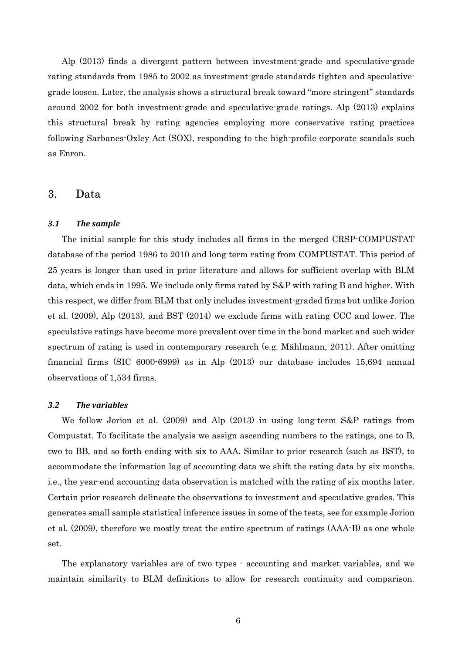Alp (2013) finds a divergent pattern between investment-grade and speculative-grade rating standards from 1985 to 2002 as investment-grade standards tighten and speculativegrade loosen. Later, the analysis shows a structural break toward "more stringent" standards around 2002 for both investment-grade and speculative-grade ratings. Alp (2013) explains this structural break by rating agencies employing more conservative rating practices following Sarbanes-Oxley Act (SOX), responding to the high-profile corporate scandals such as Enron.

## 3. Data

#### *3.1 The sample*

The initial sample for this study includes all firms in the merged CRSP-COMPUSTAT database of the period 1986 to 2010 and long-term rating from COMPUSTAT. This period of 25 years is longer than used in prior literature and allows for sufficient overlap with BLM data, which ends in 1995. We include only firms rated by S&P with rating B and higher. With this respect, we differ from BLM that only includes investment-graded firms but unlike Jorion et al. (2009), Alp (2013), and BST (2014) we exclude firms with rating CCC and lower. The speculative ratings have become more prevalent over time in the bond market and such wider spectrum of rating is used in contemporary research (e.g. Mählmann, 2011). After omitting financial firms (SIC 6000-6999) as in Alp (2013) our database includes 15,694 annual observations of 1,534 firms.

#### *3.2 The variables*

We follow Jorion et al. (2009) and Alp (2013) in using long-term S&P ratings from Compustat. To facilitate the analysis we assign ascending numbers to the ratings, one to B, two to BB, and so forth ending with six to AAA. Similar to prior research (such as BST), to accommodate the information lag of accounting data we shift the rating data by six months. i.e., the year-end accounting data observation is matched with the rating of six months later. Certain prior research delineate the observations to investment and speculative grades. This generates small sample statistical inference issues in some of the tests, see for example Jorion et al. (2009), therefore we mostly treat the entire spectrum of ratings (AAA-B) as one whole set.

The explanatory variables are of two types - accounting and market variables, and we maintain similarity to BLM definitions to allow for research continuity and comparison.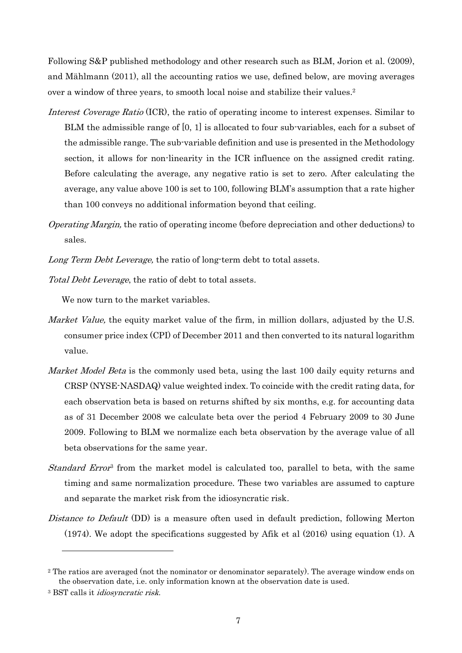Following S&P published methodology and other research such as BLM, Jorion et al. (2009), and Mählmann (2011), all the accounting ratios we use, defined below, are moving averages over a window of three years, to smooth local noise and stabilize their values.<sup>2</sup>

- Interest Coverage Ratio (ICR), the ratio of operating income to interest expenses. Similar to BLM the admissible range of [0, 1] is allocated to four sub-variables, each for a subset of the admissible range. The sub-variable definition and use is presented in the Methodology section, it allows for non-linearity in the ICR influence on the assigned credit rating. Before calculating the average, any negative ratio is set to zero. After calculating the average, any value above 100 is set to 100, following BLM's assumption that a rate higher than 100 conveys no additional information beyond that ceiling.
- Operating Margin, the ratio of operating income (before depreciation and other deductions) to sales.
- Long Term Debt Leverage, the ratio of long-term debt to total assets.
- Total Debt Leverage, the ratio of debt to total assets.

We now turn to the market variables.

- *Market Value*, the equity market value of the firm, in million dollars, adjusted by the U.S. consumer price index (CPI) of December 2011 and then converted to its natural logarithm value.
- Market Model Beta is the commonly used beta, using the last 100 daily equity returns and CRSP (NYSE-NASDAQ) value weighted index. To coincide with the credit rating data, for each observation beta is based on returns shifted by six months, e.g. for accounting data as of 31 December 2008 we calculate beta over the period 4 February 2009 to 30 June 2009. Following to BLM we normalize each beta observation by the average value of all beta observations for the same year.
- Standard Error<sup>3</sup> from the market model is calculated too, parallel to beta, with the same timing and same normalization procedure. These two variables are assumed to capture and separate the market risk from the idiosyncratic risk.
- Distance to Default (DD) is a measure often used in default prediction, following Merton (1974). We adopt the specifications suggested by Afik et al (2016) using equation (1). A

 $\overline{a}$ 

<sup>2</sup> The ratios are averaged (not the nominator or denominator separately). The average window ends on the observation date, i.e. only information known at the observation date is used.

<sup>&</sup>lt;sup>3</sup> BST calls it *idiosyncratic risk*.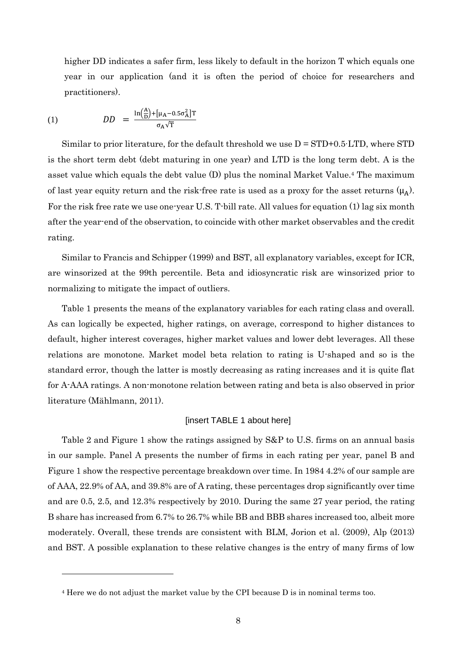higher DD indicates a safer firm, less likely to default in the horizon T which equals one year in our application (and it is often the period of choice for researchers and practitioners).

(1) 
$$
DD = \frac{\ln(\frac{A}{D}) + [\mu_A - 0.5\sigma_A^2]T}{\sigma_A\sqrt{T}}
$$

 $\overline{a}$ 

Similar to prior literature, for the default threshold we use  $D = STD+0.5 \cdot LTD$ , where  $STD$ is the short term debt (debt maturing in one year) and LTD is the long term debt. A is the asset value which equals the debt value (D) plus the nominal Market Value.<sup>4</sup> The maximum of last year equity return and the risk-free rate is used as a proxy for the asset returns  $(\mu_A)$ . For the risk free rate we use one-year U.S. T-bill rate. All values for equation (1) lag six month after the year-end of the observation, to coincide with other market observables and the credit rating.

Similar to Francis and Schipper (1999) and BST, all explanatory variables, except for ICR, are winsorized at the 99th percentile. Beta and idiosyncratic risk are winsorized prior to normalizing to mitigate the impact of outliers.

Table 1 presents the means of the explanatory variables for each rating class and overall. As can logically be expected, higher ratings, on average, correspond to higher distances to default, higher interest coverages, higher market values and lower debt leverages. All these relations are monotone. Market model beta relation to rating is U-shaped and so is the standard error, though the latter is mostly decreasing as rating increases and it is quite flat for A-AAA ratings. A non-monotone relation between rating and beta is also observed in prior literature (Mählmann, 2011).

#### [insert TABLE 1 about here]

Table 2 and Figure 1 show the ratings assigned by S&P to U.S. firms on an annual basis in our sample. Panel A presents the number of firms in each rating per year, panel B and Figure 1 show the respective percentage breakdown over time. In 1984 4.2% of our sample are of AAA, 22.9% of AA, and 39.8% are of A rating, these percentages drop significantly over time and are 0.5, 2.5, and 12.3% respectively by 2010. During the same 27 year period, the rating B share has increased from 6.7% to 26.7% while BB and BBB shares increased too, albeit more moderately. Overall, these trends are consistent with BLM, Jorion et al. (2009), Alp (2013) and BST. A possible explanation to these relative changes is the entry of many firms of low

<sup>4</sup> Here we do not adjust the market value by the CPI because D is in nominal terms too.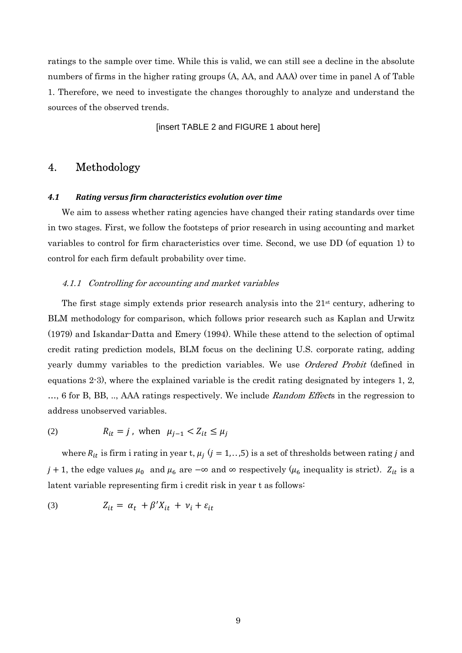ratings to the sample over time. While this is valid, we can still see a decline in the absolute numbers of firms in the higher rating groups (A, AA, and AAA) over time in panel A of Table 1. Therefore, we need to investigate the changes thoroughly to analyze and understand the sources of the observed trends.

[insert TABLE 2 and FIGURE 1 about here]

## 4. Methodology

#### *4.1 Rating versus firm characteristics evolution over time*

We aim to assess whether rating agencies have changed their rating standards over time in two stages. First, we follow the footsteps of prior research in using accounting and market variables to control for firm characteristics over time. Second, we use DD (of equation 1) to control for each firm default probability over time.

#### 4.1.1 Controlling for accounting and market variables

The first stage simply extends prior research analysis into the  $21<sup>st</sup>$  century, adhering to BLM methodology for comparison, which follows prior research such as Kaplan and Urwitz (1979) and Iskandar-Datta and Emery (1994). While these attend to the selection of optimal credit rating prediction models, BLM focus on the declining U.S. corporate rating, adding yearly dummy variables to the prediction variables. We use Ordered Probit (defined in equations 2-3), where the explained variable is the credit rating designated by integers 1, 2, ..., 6 for B, BB, ..., AAA ratings respectively. We include Random Effects in the regression to address unobserved variables.

(2) 
$$
R_{it} = j \text{, when } \mu_{j-1} < Z_{it} \leq \mu_j
$$

where  $R_{it}$  is firm i rating in year t,  $\mu_j$  ( $j = 1, \ldots, 5$ ) is a set of thresholds between rating  $j$  and j + 1, the edge values  $\mu_0$  and  $\mu_6$  are  $-\infty$  and  $\infty$  respectively ( $\mu_6$  inequality is strict).  $Z_{it}$  is a latent variable representing firm i credit risk in year t as follows:

$$
(3) \tZ_{it} = \alpha_t + \beta' X_{it} + \nu_i + \varepsilon_{it}
$$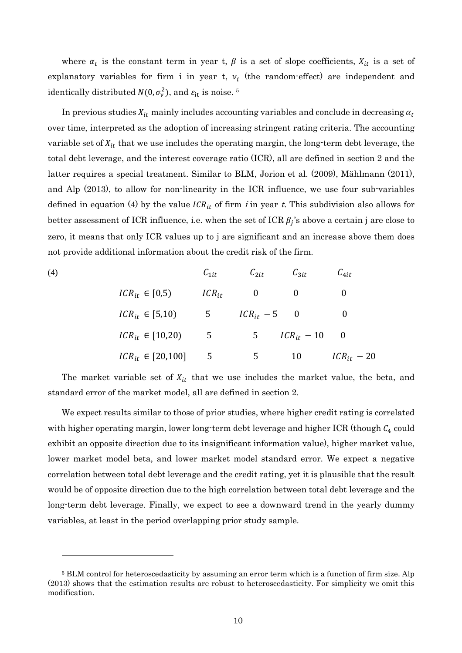where  $\alpha_t$  is the constant term in year t,  $\beta$  is a set of slope coefficients,  $X_{it}$  is a set of explanatory variables for firm i in year t,  $v_i$  (the random-effect) are independent and identically distributed  $N(0, \sigma_v^2)$ , and  $\varepsilon_{\rm it}$  is noise. <sup>5</sup>

In previous studies  $X_{it}$  mainly includes accounting variables and conclude in decreasing  $\alpha_t$ over time, interpreted as the adoption of increasing stringent rating criteria. The accounting variable set of  $X_{it}$  that we use includes the operating margin, the long-term debt leverage, the total debt leverage, and the interest coverage ratio (ICR), all are defined in section 2 and the latter requires a special treatment. Similar to BLM, Jorion et al. (2009), Mählmann (2011), and Alp (2013), to allow for non-linearity in the ICR influence, we use four sub-variables defined in equation (4) by the value  $ICR_{it}$  of firm *i* in year t. This subdivision also allows for better assessment of ICR influence, i.e. when the set of ICR  $\beta_j$ 's above a certain j are close to zero, it means that only ICR values up to j are significant and an increase above them does not provide additional information about the credit risk of the firm.

(4)  
\n
$$
ICR_{it} \in [0,5) \tICR_{it} \t 0 \t 0 \t 0
$$
\n
$$
ICR_{it} \in [5,10) \t 5 \t ICR_{it} - 5 \t 0 \t 0
$$
\n
$$
ICR_{it} \in [10,20) \t 5 \t ICR_{it} - 10 \t 0
$$
\n
$$
ICR_{it} \in [20,100] \t 5 \t 5 \t 10 \t ICR_{it} - 20
$$

The market variable set of  $X_{it}$  that we use includes the market value, the beta, and standard error of the market model, all are defined in section 2.

We expect results similar to those of prior studies, where higher credit rating is correlated with higher operating margin, lower long-term debt leverage and higher ICR (though  $C_4$  could exhibit an opposite direction due to its insignificant information value), higher market value, lower market model beta, and lower market model standard error. We expect a negative correlation between total debt leverage and the credit rating, yet it is plausible that the result would be of opposite direction due to the high correlation between total debt leverage and the long-term debt leverage. Finally, we expect to see a downward trend in the yearly dummy variables, at least in the period overlapping prior study sample.

 $\overline{a}$ 

<sup>&</sup>lt;sup>5</sup> BLM control for heteroscedasticity by assuming an error term which is a function of firm size. Alp (2013) shows that the estimation results are robust to heteroscedasticity. For simplicity we omit this modification.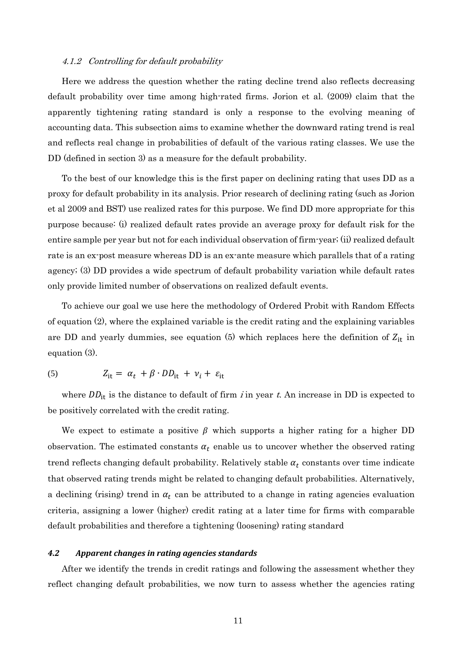#### 4.1.2 Controlling for default probability

Here we address the question whether the rating decline trend also reflects decreasing default probability over time among high-rated firms. Jorion et al. (2009) claim that the apparently tightening rating standard is only a response to the evolving meaning of accounting data. This subsection aims to examine whether the downward rating trend is real and reflects real change in probabilities of default of the various rating classes. We use the DD (defined in section 3) as a measure for the default probability.

To the best of our knowledge this is the first paper on declining rating that uses DD as a proxy for default probability in its analysis. Prior research of declining rating (such as Jorion et al 2009 and BST) use realized rates for this purpose. We find DD more appropriate for this purpose because: (i) realized default rates provide an average proxy for default risk for the entire sample per year but not for each individual observation of firm-year; (ii) realized default rate is an ex-post measure whereas DD is an ex-ante measure which parallels that of a rating agency; (3) DD provides a wide spectrum of default probability variation while default rates only provide limited number of observations on realized default events.

To achieve our goal we use here the methodology of Ordered Probit with Random Effects of equation (2), where the explained variable is the credit rating and the explaining variables are DD and yearly dummies, see equation (5) which replaces here the definition of  $Z_{it}$  in equation (3).

$$
(5) \tZ_{it} = \alpha_t + \beta \cdot DD_{it} + \nu_i + \varepsilon_{it}
$$

where  $DD_{it}$  is the distance to default of firm *i* in year t. An increase in DD is expected to be positively correlated with the credit rating.

We expect to estimate a positive  $\beta$  which supports a higher rating for a higher DD observation. The estimated constants  $\alpha_t$  enable us to uncover whether the observed rating trend reflects changing default probability. Relatively stable  $\alpha_t$  constants over time indicate that observed rating trends might be related to changing default probabilities. Alternatively, a declining (rising) trend in  $\alpha_t$  can be attributed to a change in rating agencies evaluation criteria, assigning a lower (higher) credit rating at a later time for firms with comparable default probabilities and therefore a tightening (loosening) rating standard

#### *4.2 Apparent changes in rating agencies standards*

After we identify the trends in credit ratings and following the assessment whether they reflect changing default probabilities, we now turn to assess whether the agencies rating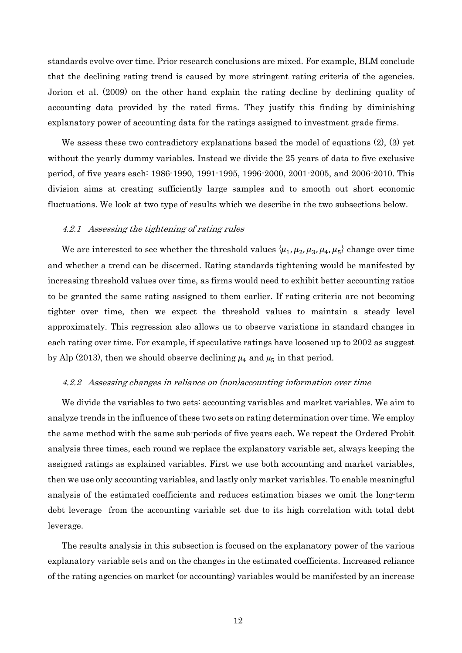standards evolve over time. Prior research conclusions are mixed. For example, BLM conclude that the declining rating trend is caused by more stringent rating criteria of the agencies. Jorion et al. (2009) on the other hand explain the rating decline by declining quality of accounting data provided by the rated firms. They justify this finding by diminishing explanatory power of accounting data for the ratings assigned to investment grade firms.

We assess these two contradictory explanations based the model of equations (2), (3) yet without the yearly dummy variables. Instead we divide the 25 years of data to five exclusive period, of five years each: 1986-1990, 1991-1995, 1996-2000, 2001-2005, and 2006-2010. This division aims at creating sufficiently large samples and to smooth out short economic fluctuations. We look at two type of results which we describe in the two subsections below.

#### 4.2.1 Assessing the tightening of rating rules

We are interested to see whether the threshold values  $\{\mu_1, \mu_2, \mu_3, \mu_4, \mu_5\}$  change over time and whether a trend can be discerned. Rating standards tightening would be manifested by increasing threshold values over time, as firms would need to exhibit better accounting ratios to be granted the same rating assigned to them earlier. If rating criteria are not becoming tighter over time, then we expect the threshold values to maintain a steady level approximately. This regression also allows us to observe variations in standard changes in each rating over time. For example, if speculative ratings have loosened up to 2002 as suggest by Alp (2013), then we should observe declining  $\mu_4$  and  $\mu_5$  in that period.

#### 4.2.2 Assessing changes in reliance on (non)accounting information over time

We divide the variables to two sets: accounting variables and market variables. We aim to analyze trends in the influence of these two sets on rating determination over time. We employ the same method with the same sub-periods of five years each. We repeat the Ordered Probit analysis three times, each round we replace the explanatory variable set, always keeping the assigned ratings as explained variables. First we use both accounting and market variables, then we use only accounting variables, and lastly only market variables. To enable meaningful analysis of the estimated coefficients and reduces estimation biases we omit the long-term debt leverage from the accounting variable set due to its high correlation with total debt leverage.

The results analysis in this subsection is focused on the explanatory power of the various explanatory variable sets and on the changes in the estimated coefficients. Increased reliance of the rating agencies on market (or accounting) variables would be manifested by an increase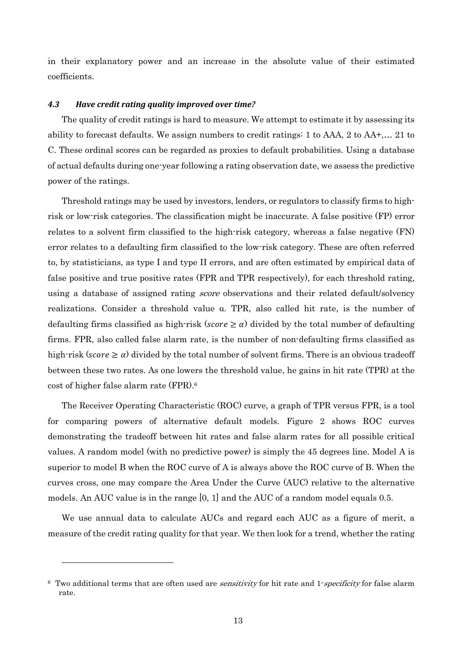in their explanatory power and an increase in the absolute value of their estimated coefficients.

#### *4.3 Have credit rating quality improved over time?*

The quality of credit ratings is hard to measure. We attempt to estimate it by assessing its ability to forecast defaults. We assign numbers to credit ratings: 1 to AAA, 2 to AA+,… 21 to C. These ordinal scores can be regarded as proxies to default probabilities. Using a database of actual defaults during one-year following a rating observation date, we assess the predictive power of the ratings.

Threshold ratings may be used by investors, lenders, or regulators to classify firms to highrisk or low-risk categories. The classification might be inaccurate. A false positive (FP) error relates to a solvent firm classified to the high-risk category, whereas a false negative (FN) error relates to a defaulting firm classified to the low-risk category. These are often referred to, by statisticians, as type I and type II errors, and are often estimated by empirical data of false positive and true positive rates (FPR and TPR respectively), for each threshold rating, using a database of assigned rating *score* observations and their related default/solvency realizations. Consider a threshold value α. TPR, also called hit rate, is the number of defaulting firms classified as high-risk (score  $\geq \alpha$ ) divided by the total number of defaulting firms. FPR, also called false alarm rate, is the number of non-defaulting firms classified as high-risk (score  $\geq \alpha$ ) divided by the total number of solvent firms. There is an obvious tradeoff between these two rates. As one lowers the threshold value, he gains in hit rate (TPR) at the cost of higher false alarm rate (FPR).<sup>6</sup>

The Receiver Operating Characteristic (ROC) curve, a graph of TPR versus FPR, is a tool for comparing powers of alternative default models. Figure 2 shows ROC curves demonstrating the tradeoff between hit rates and false alarm rates for all possible critical values. A random model (with no predictive power) is simply the 45 degrees line. Model A is superior to model B when the ROC curve of A is always above the ROC curve of B. When the curves cross, one may compare the Area Under the Curve (AUC) relative to the alternative models. An AUC value is in the range [0, 1] and the AUC of a random model equals 0.5.

We use annual data to calculate AUCs and regard each AUC as a figure of merit, a measure of the credit rating quality for that year. We then look for a trend, whether the rating

 $\overline{a}$ 

<sup>&</sup>lt;sup>6</sup> Two additional terms that are often used are *sensitivity* for hit rate and 1-*specificity* for false alarm rate.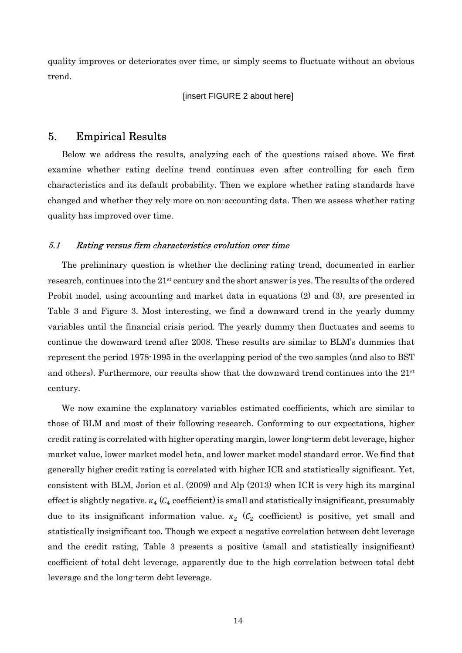quality improves or deteriorates over time, or simply seems to fluctuate without an obvious trend.

#### [insert FIGURE 2 about here]

## 5. Empirical Results

Below we address the results, analyzing each of the questions raised above. We first examine whether rating decline trend continues even after controlling for each firm characteristics and its default probability. Then we explore whether rating standards have changed and whether they rely more on non-accounting data. Then we assess whether rating quality has improved over time.

#### 5.1 Rating versus firm characteristics evolution over time

The preliminary question is whether the declining rating trend, documented in earlier research, continues into the 21<sup>st</sup> century and the short answer is yes. The results of the ordered Probit model, using accounting and market data in equations (2) and (3), are presented in Table 3 and Figure 3. Most interesting, we find a downward trend in the yearly dummy variables until the financial crisis period. The yearly dummy then fluctuates and seems to continue the downward trend after 2008. These results are similar to BLM's dummies that represent the period 1978-1995 in the overlapping period of the two samples (and also to BST and others). Furthermore, our results show that the downward trend continues into the  $21<sup>st</sup>$ century.

We now examine the explanatory variables estimated coefficients, which are similar to those of BLM and most of their following research. Conforming to our expectations, higher credit rating is correlated with higher operating margin, lower long-term debt leverage, higher market value, lower market model beta, and lower market model standard error. We find that generally higher credit rating is correlated with higher ICR and statistically significant. Yet, consistent with BLM, Jorion et al. (2009) and Alp (2013) when ICR is very high its marginal effect is slightly negative.  $\kappa_4$  ( $C_4$  coefficient) is small and statistically insignificant, presumably due to its insignificant information value.  $\kappa_2$  ( $C_2$  coefficient) is positive, yet small and statistically insignificant too. Though we expect a negative correlation between debt leverage and the credit rating, Table 3 presents a positive (small and statistically insignificant) coefficient of total debt leverage, apparently due to the high correlation between total debt leverage and the long-term debt leverage.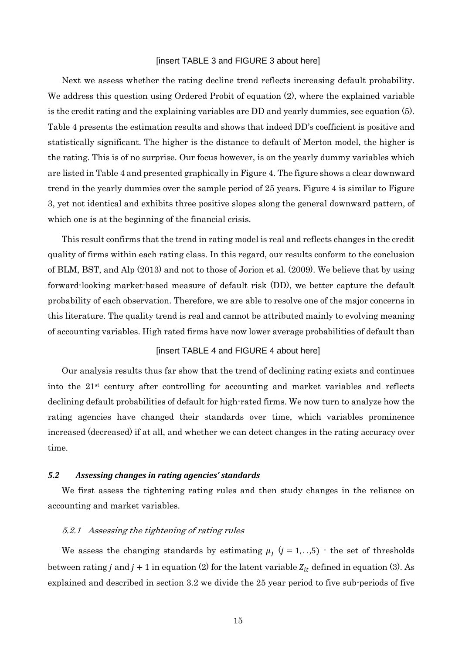#### [insert TABLE 3 and FIGURE 3 about here]

Next we assess whether the rating decline trend reflects increasing default probability. We address this question using Ordered Probit of equation (2), where the explained variable is the credit rating and the explaining variables are DD and yearly dummies, see equation (5). Table 4 presents the estimation results and shows that indeed DD's coefficient is positive and statistically significant. The higher is the distance to default of Merton model, the higher is the rating. This is of no surprise. Our focus however, is on the yearly dummy variables which are listed in Table 4 and presented graphically in Figure 4. The figure shows a clear downward trend in the yearly dummies over the sample period of 25 years. Figure 4 is similar to Figure 3, yet not identical and exhibits three positive slopes along the general downward pattern, of which one is at the beginning of the financial crisis.

This result confirms that the trend in rating model is real and reflects changes in the credit quality of firms within each rating class. In this regard, our results conform to the conclusion of BLM, BST, and Alp (2013) and not to those of Jorion et al. (2009). We believe that by using forward-looking market-based measure of default risk (DD), we better capture the default probability of each observation. Therefore, we are able to resolve one of the major concerns in this literature. The quality trend is real and cannot be attributed mainly to evolving meaning of accounting variables. High rated firms have now lower average probabilities of default than

#### [insert TABLE 4 and FIGURE 4 about here]

Our analysis results thus far show that the trend of declining rating exists and continues into the  $21<sup>st</sup>$  century after controlling for accounting and market variables and reflects declining default probabilities of default for high-rated firms. We now turn to analyze how the rating agencies have changed their standards over time, which variables prominence increased (decreased) if at all, and whether we can detect changes in the rating accuracy over time.

#### *5.2 Assessing changes in rating agencies' standards*

We first assess the tightening rating rules and then study changes in the reliance on accounting and market variables.

#### 5.2.1 Assessing the tightening of rating rules

We assess the changing standards by estimating  $\mu_j$  ( $j = 1, \ldots, 5$ ) - the set of thresholds between rating *j* and *j* + 1 in equation (2) for the latent variable  $Z_{it}$  defined in equation (3). As explained and described in section 3.2 we divide the 25 year period to five sub-periods of five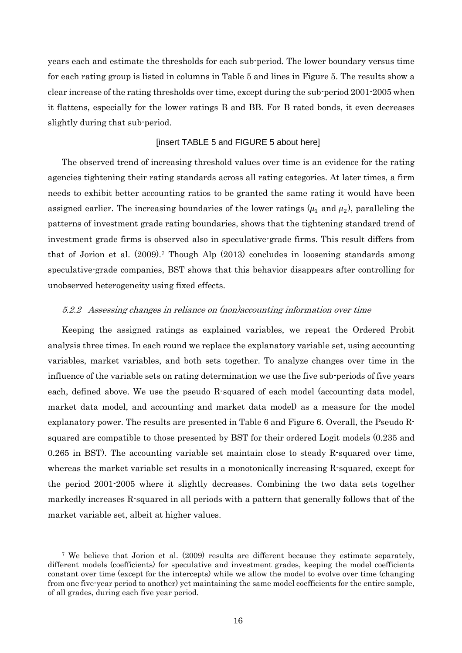years each and estimate the thresholds for each sub-period. The lower boundary versus time for each rating group is listed in columns in Table 5 and lines in Figure 5. The results show a clear increase of the rating thresholds over time, except during the sub-period 2001-2005 when it flattens, especially for the lower ratings B and BB. For B rated bonds, it even decreases slightly during that sub-period.

#### [insert TABLE 5 and FIGURE 5 about here]

The observed trend of increasing threshold values over time is an evidence for the rating agencies tightening their rating standards across all rating categories. At later times, a firm needs to exhibit better accounting ratios to be granted the same rating it would have been assigned earlier. The increasing boundaries of the lower ratings  $(\mu_1$  and  $\mu_2)$ , paralleling the patterns of investment grade rating boundaries, shows that the tightening standard trend of investment grade firms is observed also in speculative-grade firms. This result differs from that of Jorion et al. (2009).<sup>7</sup> Though Alp (2013) concludes in loosening standards among speculative-grade companies, BST shows that this behavior disappears after controlling for unobserved heterogeneity using fixed effects.

#### 5.2.2 Assessing changes in reliance on (non)accounting information over time

Keeping the assigned ratings as explained variables, we repeat the Ordered Probit analysis three times. In each round we replace the explanatory variable set, using accounting variables, market variables, and both sets together. To analyze changes over time in the influence of the variable sets on rating determination we use the five sub-periods of five years each, defined above. We use the pseudo R-squared of each model (accounting data model, market data model, and accounting and market data model) as a measure for the model explanatory power. The results are presented in Table 6 and Figure 6. Overall, the Pseudo Rsquared are compatible to those presented by BST for their ordered Logit models (0.235 and 0.265 in BST). The accounting variable set maintain close to steady R-squared over time, whereas the market variable set results in a monotonically increasing R-squared, except for the period 2001-2005 where it slightly decreases. Combining the two data sets together markedly increases R-squared in all periods with a pattern that generally follows that of the market variable set, albeit at higher values.

<sup>7</sup> We believe that Jorion et al. (2009) results are different because they estimate separately, different models (coefficients) for speculative and investment grades, keeping the model coefficients constant over time (except for the intercepts) while we allow the model to evolve over time (changing from one five-year period to another) yet maintaining the same model coefficients for the entire sample, of all grades, during each five year period.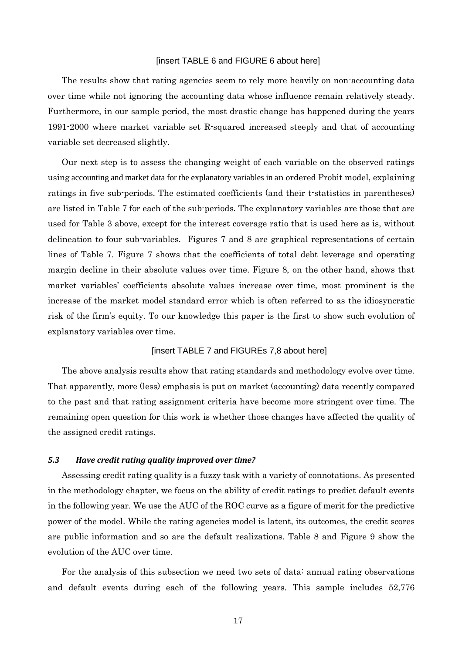#### [insert TABLE 6 and FIGURE 6 about here]

The results show that rating agencies seem to rely more heavily on non-accounting data over time while not ignoring the accounting data whose influence remain relatively steady. Furthermore, in our sample period, the most drastic change has happened during the years 1991-2000 where market variable set R-squared increased steeply and that of accounting variable set decreased slightly.

Our next step is to assess the changing weight of each variable on the observed ratings using accounting and market data for the explanatory variables in an ordered Probit model, explaining ratings in five sub-periods. The estimated coefficients (and their t-statistics in parentheses) are listed in Table 7 for each of the sub-periods. The explanatory variables are those that are used for Table 3 above, except for the interest coverage ratio that is used here as is, without delineation to four sub-variables. Figures 7 and 8 are graphical representations of certain lines of Table 7. Figure 7 shows that the coefficients of total debt leverage and operating margin decline in their absolute values over time. Figure 8, on the other hand, shows that market variables' coefficients absolute values increase over time, most prominent is the increase of the market model standard error which is often referred to as the idiosyncratic risk of the firm's equity. To our knowledge this paper is the first to show such evolution of explanatory variables over time.

#### [insert TABLE 7 and FIGUREs 7,8 about here]

The above analysis results show that rating standards and methodology evolve over time. That apparently, more (less) emphasis is put on market (accounting) data recently compared to the past and that rating assignment criteria have become more stringent over time. The remaining open question for this work is whether those changes have affected the quality of the assigned credit ratings.

#### *5.3 Have credit rating quality improved over time?*

Assessing credit rating quality is a fuzzy task with a variety of connotations. As presented in the methodology chapter, we focus on the ability of credit ratings to predict default events in the following year. We use the AUC of the ROC curve as a figure of merit for the predictive power of the model. While the rating agencies model is latent, its outcomes, the credit scores are public information and so are the default realizations. Table 8 and Figure 9 show the evolution of the AUC over time.

For the analysis of this subsection we need two sets of data: annual rating observations and default events during each of the following years. This sample includes 52,776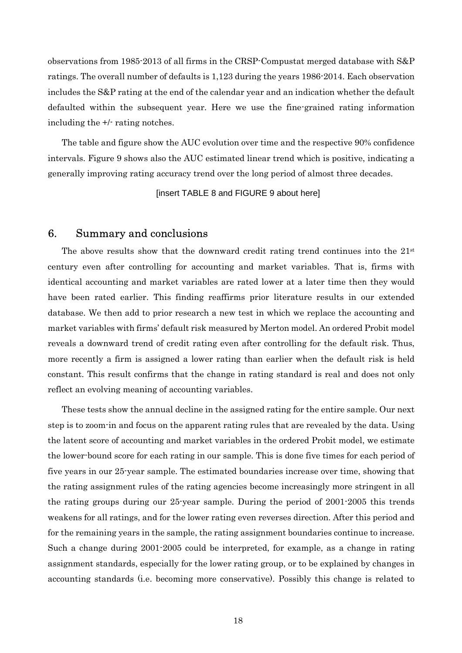observations from 1985-2013 of all firms in the CRSP-Compustat merged database with S&P ratings. The overall number of defaults is 1,123 during the years 1986-2014. Each observation includes the S&P rating at the end of the calendar year and an indication whether the default defaulted within the subsequent year. Here we use the fine-grained rating information including the +/- rating notches.

The table and figure show the AUC evolution over time and the respective 90% confidence intervals. Figure 9 shows also the AUC estimated linear trend which is positive, indicating a generally improving rating accuracy trend over the long period of almost three decades.

[insert TABLE 8 and FIGURE 9 about here]

## 6. Summary and conclusions

The above results show that the downward credit rating trend continues into the 21st century even after controlling for accounting and market variables. That is, firms with identical accounting and market variables are rated lower at a later time then they would have been rated earlier. This finding reaffirms prior literature results in our extended database. We then add to prior research a new test in which we replace the accounting and market variables with firms' default risk measured by Merton model. An ordered Probit model reveals a downward trend of credit rating even after controlling for the default risk. Thus, more recently a firm is assigned a lower rating than earlier when the default risk is held constant. This result confirms that the change in rating standard is real and does not only reflect an evolving meaning of accounting variables.

These tests show the annual decline in the assigned rating for the entire sample. Our next step is to zoom-in and focus on the apparent rating rules that are revealed by the data. Using the latent score of accounting and market variables in the ordered Probit model, we estimate the lower-bound score for each rating in our sample. This is done five times for each period of five years in our 25-year sample. The estimated boundaries increase over time, showing that the rating assignment rules of the rating agencies become increasingly more stringent in all the rating groups during our 25-year sample. During the period of 2001-2005 this trends weakens for all ratings, and for the lower rating even reverses direction. After this period and for the remaining years in the sample, the rating assignment boundaries continue to increase. Such a change during 2001-2005 could be interpreted, for example, as a change in rating assignment standards, especially for the lower rating group, or to be explained by changes in accounting standards (i.e. becoming more conservative). Possibly this change is related to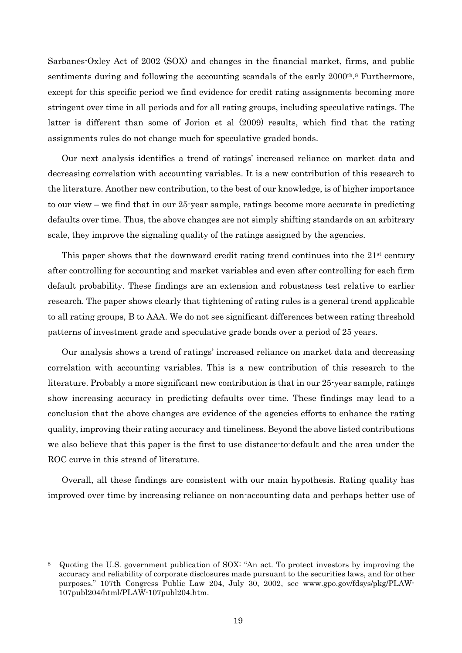Sarbanes-Oxley Act of 2002 (SOX) and changes in the financial market, firms, and public sentiments during and following the accounting scandals of the early 2000<sup>th</sup>.<sup>8</sup> Furthermore, except for this specific period we find evidence for credit rating assignments becoming more stringent over time in all periods and for all rating groups, including speculative ratings. The latter is different than some of Jorion et al (2009) results, which find that the rating assignments rules do not change much for speculative graded bonds.

Our next analysis identifies a trend of ratings' increased reliance on market data and decreasing correlation with accounting variables. It is a new contribution of this research to the literature. Another new contribution, to the best of our knowledge, is of higher importance to our view – we find that in our 25-year sample, ratings become more accurate in predicting defaults over time. Thus, the above changes are not simply shifting standards on an arbitrary scale, they improve the signaling quality of the ratings assigned by the agencies.

This paper shows that the downward credit rating trend continues into the  $21<sup>st</sup>$  century after controlling for accounting and market variables and even after controlling for each firm default probability. These findings are an extension and robustness test relative to earlier research. The paper shows clearly that tightening of rating rules is a general trend applicable to all rating groups, B to AAA. We do not see significant differences between rating threshold patterns of investment grade and speculative grade bonds over a period of 25 years.

Our analysis shows a trend of ratings' increased reliance on market data and decreasing correlation with accounting variables. This is a new contribution of this research to the literature. Probably a more significant new contribution is that in our 25-year sample, ratings show increasing accuracy in predicting defaults over time. These findings may lead to a conclusion that the above changes are evidence of the agencies efforts to enhance the rating quality, improving their rating accuracy and timeliness. Beyond the above listed contributions we also believe that this paper is the first to use distance-to-default and the area under the ROC curve in this strand of literature.

Overall, all these findings are consistent with our main hypothesis. Rating quality has improved over time by increasing reliance on non-accounting data and perhaps better use of

 $\overline{a}$ 

<sup>8</sup> Quoting the U.S. government publication of SOX: "An act. To protect investors by improving the accuracy and reliability of corporate disclosures made pursuant to the securities laws, and for other purposes." 107th Congress Public Law 204, July 30, 2002, see www.gpo.gov/fdsys/pkg/PLAW-107publ204/html/PLAW-107publ204.htm.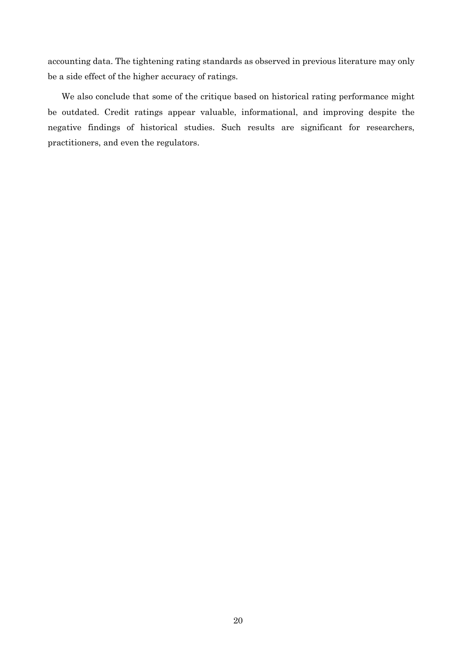accounting data. The tightening rating standards as observed in previous literature may only be a side effect of the higher accuracy of ratings.

We also conclude that some of the critique based on historical rating performance might be outdated. Credit ratings appear valuable, informational, and improving despite the negative findings of historical studies. Such results are significant for researchers, practitioners, and even the regulators.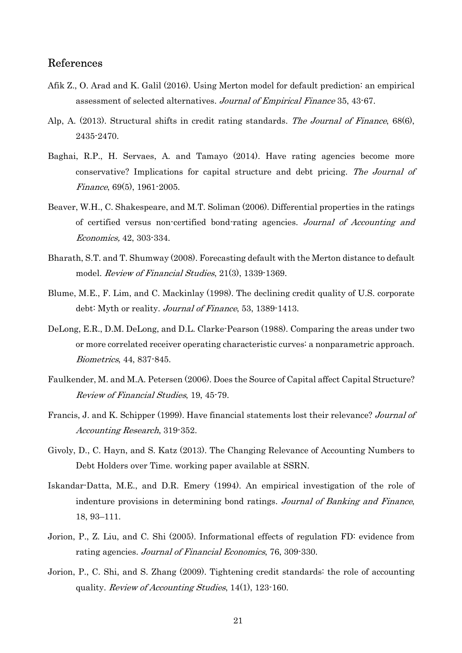## References

- Afik Z., O. Arad and K. Galil (2016). Using Merton model for default prediction: an empirical assessment of selected alternatives. Journal of Empirical Finance 35, 43-67.
- Alp, A. (2013). Structural shifts in credit rating standards. The Journal of Finance, 68(6), 2435-2470.
- Baghai, R.P., H. Servaes, A. and Tamayo (2014). Have rating agencies become more conservative? Implications for capital structure and debt pricing. The Journal of Finance, 69(5), 1961-2005.
- Beaver, W.H., C. Shakespeare, and M.T. Soliman (2006). Differential properties in the ratings of certified versus non-certified bond-rating agencies. Journal of Accounting and Economics, 42, 303-334.
- Bharath, S.T. and T. Shumway (2008). Forecasting default with the Merton distance to default model. *Review of Financial Studies*, 21(3), 1339-1369.
- Blume, M.E., F. Lim, and C. Mackinlay (1998). The declining credit quality of U.S. corporate debt: Myth or reality. *Journal of Finance*, 53, 1389-1413.
- DeLong, E.R., D.M. DeLong, and D.L. Clarke-Pearson (1988). Comparing the areas under two or more correlated receiver operating characteristic curves: a nonparametric approach. Biometrics, 44, 837-845.
- Faulkender, M. and M.A. Petersen (2006). Does the Source of Capital affect Capital Structure? Review of Financial Studies, 19, 45-79.
- Francis, J. and K. Schipper (1999). Have financial statements lost their relevance? Journal of Accounting Research, 319-352.
- Givoly, D., C. Hayn, and S. Katz (2013). The Changing Relevance of Accounting Numbers to Debt Holders over Time. working paper available at SSRN.
- Iskandar-Datta, M.E., and D.R. Emery (1994). An empirical investigation of the role of indenture provisions in determining bond ratings. Journal of Banking and Finance, 18, 93–111.
- Jorion, P., Z. Liu, and C. Shi (2005). Informational effects of regulation FD: evidence from rating agencies. Journal of Financial Economics, 76, 309-330.
- Jorion, P., C. Shi, and S. Zhang (2009). Tightening credit standards: the role of accounting quality. Review of Accounting Studies, 14(1), 123-160.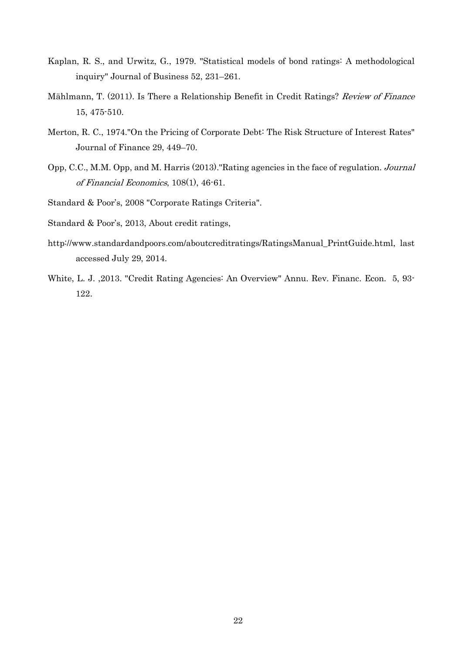- Kaplan, R. S., and Urwitz, G., 1979. "Statistical models of bond ratings: A methodological inquiry" Journal of Business 52, 231–261.
- Mählmann, T. (2011). Is There a Relationship Benefit in Credit Ratings? Review of Finance 15, 475-510.
- Merton, R. C., 1974."On the Pricing of Corporate Debt: The Risk Structure of Interest Rates" Journal of Finance 29, 449–70.
- Opp, C.C., M.M. Opp, and M. Harris (2013)."Rating agencies in the face of regulation. Journal of Financial Economics, 108(1), 46-61.
- Standard & Poor's, 2008 "Corporate Ratings Criteria".
- Standard & Poor's, 2013, About credit ratings,
- http://www.standardandpoors.com/aboutcreditratings/RatingsManual\_PrintGuide.html, last accessed July 29, 2014.
- White, L. J. ,2013. "Credit Rating Agencies: An Overview" Annu. Rev. Financ. Econ. 5, 93- 122.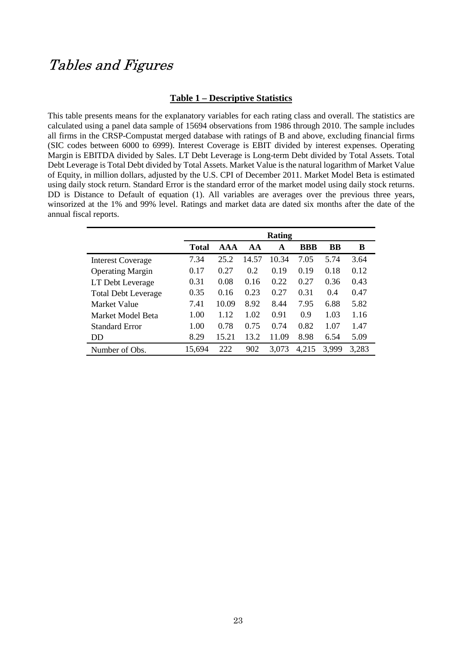# Tables and Figures

### **Table 1 – Descriptive Statistics**

This table presents means for the explanatory variables for each rating class and overall. The statistics are calculated using a panel data sample of 15694 observations from 1986 through 2010. The sample includes all firms in the CRSP-Compustat merged database with ratings of B and above, excluding financial firms (SIC codes between 6000 to 6999). Interest Coverage is EBIT divided by interest expenses. Operating Margin is EBITDA divided by Sales. LT Debt Leverage is Long-term Debt divided by Total Assets. Total Debt Leverage is Total Debt divided by Total Assets. Market Value is the natural logarithm of Market Value of Equity, in million dollars, adjusted by the U.S. CPI of December 2011. Market Model Beta is estimated using daily stock return. Standard Error is the standard error of the market model using daily stock returns. DD is Distance to Default of equation (1). All variables are averages over the previous three years, winsorized at the 1% and 99% level. Ratings and market data are dated six months after the date of the annual fiscal reports.

|                            | Rating       |       |       |       |            |       |       |
|----------------------------|--------------|-------|-------|-------|------------|-------|-------|
|                            | <b>Total</b> | AA    | AA    | A     | <b>BBB</b> | BB    | В     |
| <b>Interest Coverage</b>   | 7.34         | 25.2  | 14.57 | 10.34 | 7.05       | 5.74  | 3.64  |
| <b>Operating Margin</b>    | 0.17         | 0.27  | 0.2   | 0.19  | 0.19       | 0.18  | 0.12  |
| LT Debt Leverage           | 0.31         | 0.08  | 0.16  | 0.22  | 0.27       | 0.36  | 0.43  |
| <b>Total Debt Leverage</b> | 0.35         | 0.16  | 0.23  | 0.27  | 0.31       | 0.4   | 0.47  |
| Market Value               | 7.41         | 10.09 | 8.92  | 8.44  | 7.95       | 6.88  | 5.82  |
| Market Model Beta          | 1.00         | 1.12  | 1.02  | 0.91  | 0.9        | 1.03  | 1.16  |
| <b>Standard Error</b>      | 1.00         | 0.78  | 0.75  | 0.74  | 0.82       | 1.07  | 1.47  |
| DD                         | 8.29         | 15.21 | 13.2  | 11.09 | 8.98       | 6.54  | 5.09  |
| Number of Obs.             | 15,694       | 222   | 902   | 3,073 | 4,215      | 3,999 | 3,283 |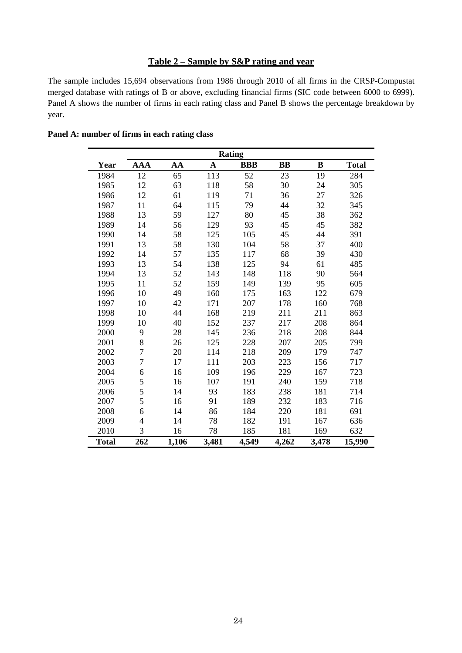## **Table 2 – Sample by S&P rating and year**

The sample includes 15,694 observations from 1986 through 2010 of all firms in the CRSP-Compustat merged database with ratings of B or above, excluding financial firms (SIC code between 6000 to 6999). Panel A shows the number of firms in each rating class and Panel B shows the percentage breakdown by year.

| <b>Rating</b> |                |       |             |            |           |       |              |
|---------------|----------------|-------|-------------|------------|-----------|-------|--------------|
| Year          | <b>AAA</b>     | AA    | $\mathbf A$ | <b>BBB</b> | <b>BB</b> | B     | <b>Total</b> |
| 1984          | 12             | 65    | 113         | 52         | 23        | 19    | 284          |
| 1985          | 12             | 63    | 118         | 58         | 30        | 24    | 305          |
| 1986          | 12             | 61    | 119         | 71         | 36        | 27    | 326          |
| 1987          | 11             | 64    | 115         | 79         | 44        | 32    | 345          |
| 1988          | 13             | 59    | 127         | 80         | 45        | 38    | 362          |
| 1989          | 14             | 56    | 129         | 93         | 45        | 45    | 382          |
| 1990          | 14             | 58    | 125         | 105        | 45        | 44    | 391          |
| 1991          | 13             | 58    | 130         | 104        | 58        | 37    | 400          |
| 1992          | 14             | 57    | 135         | 117        | 68        | 39    | 430          |
| 1993          | 13             | 54    | 138         | 125        | 94        | 61    | 485          |
| 1994          | 13             | 52    | 143         | 148        | 118       | 90    | 564          |
| 1995          | 11             | 52    | 159         | 149        | 139       | 95    | 605          |
| 1996          | 10             | 49    | 160         | 175        | 163       | 122   | 679          |
| 1997          | 10             | 42    | 171         | 207        | 178       | 160   | 768          |
| 1998          | 10             | 44    | 168         | 219        | 211       | 211   | 863          |
| 1999          | 10             | 40    | 152         | 237        | 217       | 208   | 864          |
| 2000          | 9              | 28    | 145         | 236        | 218       | 208   | 844          |
| 2001          | 8              | 26    | 125         | 228        | 207       | 205   | 799          |
| 2002          | $\overline{7}$ | 20    | 114         | 218        | 209       | 179   | 747          |
| 2003          | $\overline{7}$ | 17    | 111         | 203        | 223       | 156   | 717          |
| 2004          | 6              | 16    | 109         | 196        | 229       | 167   | 723          |
| 2005          | 5              | 16    | 107         | 191        | 240       | 159   | 718          |
| 2006          | 5              | 14    | 93          | 183        | 238       | 181   | 714          |
| 2007          | 5              | 16    | 91          | 189        | 232       | 183   | 716          |
| 2008          | 6              | 14    | 86          | 184        | 220       | 181   | 691          |
| 2009          | 4              | 14    | 78          | 182        | 191       | 167   | 636          |
| 2010          | 3              | 16    | 78          | 185        | 181       | 169   | 632          |
| <b>Total</b>  | 262            | 1,106 | 3,481       | 4,549      | 4,262     | 3,478 | 15,990       |

**Panel A: number of firms in each rating class**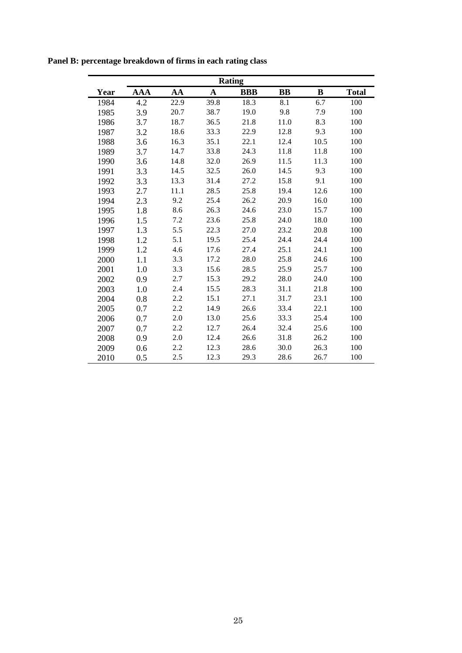| <b>Rating</b> |            |      |      |            |           |      |              |
|---------------|------------|------|------|------------|-----------|------|--------------|
| Year          | <b>AAA</b> | AA   | A    | <b>BBB</b> | <b>BB</b> | B    | <b>Total</b> |
| 1984          | 4.2        | 22.9 | 39.8 | 18.3       | 8.1       | 6.7  | 100          |
| 1985          | 3.9        | 20.7 | 38.7 | 19.0       | 9.8       | 7.9  | 100          |
| 1986          | 3.7        | 18.7 | 36.5 | 21.8       | 11.0      | 8.3  | 100          |
| 1987          | 3.2        | 18.6 | 33.3 | 22.9       | 12.8      | 9.3  | 100          |
| 1988          | 3.6        | 16.3 | 35.1 | 22.1       | 12.4      | 10.5 | 100          |
| 1989          | 3.7        | 14.7 | 33.8 | 24.3       | 11.8      | 11.8 | 100          |
| 1990          | 3.6        | 14.8 | 32.0 | 26.9       | 11.5      | 11.3 | 100          |
| 1991          | 3.3        | 14.5 | 32.5 | 26.0       | 14.5      | 9.3  | 100          |
| 1992          | 3.3        | 13.3 | 31.4 | 27.2       | 15.8      | 9.1  | 100          |
| 1993          | 2.7        | 11.1 | 28.5 | 25.8       | 19.4      | 12.6 | 100          |
| 1994          | 2.3        | 9.2  | 25.4 | 26.2       | 20.9      | 16.0 | 100          |
| 1995          | 1.8        | 8.6  | 26.3 | 24.6       | 23.0      | 15.7 | 100          |
| 1996          | 1.5        | 7.2  | 23.6 | 25.8       | 24.0      | 18.0 | 100          |
| 1997          | 1.3        | 5.5  | 22.3 | 27.0       | 23.2      | 20.8 | 100          |
| 1998          | 1.2        | 5.1  | 19.5 | 25.4       | 24.4      | 24.4 | 100          |
| 1999          | 1.2        | 4.6  | 17.6 | 27.4       | 25.1      | 24.1 | 100          |
| 2000          | 1.1        | 3.3  | 17.2 | 28.0       | 25.8      | 24.6 | 100          |
| 2001          | 1.0        | 3.3  | 15.6 | 28.5       | 25.9      | 25.7 | 100          |
| 2002          | 0.9        | 2.7  | 15.3 | 29.2       | 28.0      | 24.0 | 100          |
| 2003          | 1.0        | 2.4  | 15.5 | 28.3       | 31.1      | 21.8 | 100          |
| 2004          | 0.8        | 2.2  | 15.1 | 27.1       | 31.7      | 23.1 | 100          |
| 2005          | 0.7        | 2.2  | 14.9 | 26.6       | 33.4      | 22.1 | 100          |
| 2006          | 0.7        | 2.0  | 13.0 | 25.6       | 33.3      | 25.4 | 100          |
| 2007          | 0.7        | 2.2  | 12.7 | 26.4       | 32.4      | 25.6 | 100          |
| 2008          | 0.9        | 2.0  | 12.4 | 26.6       | 31.8      | 26.2 | 100          |
| 2009          | 0.6        | 2.2  | 12.3 | 28.6       | 30.0      | 26.3 | 100          |
| 2010          | 0.5        | 2.5  | 12.3 | 29.3       | 28.6      | 26.7 | 100          |

**Panel B: percentage breakdown of firms in each rating class**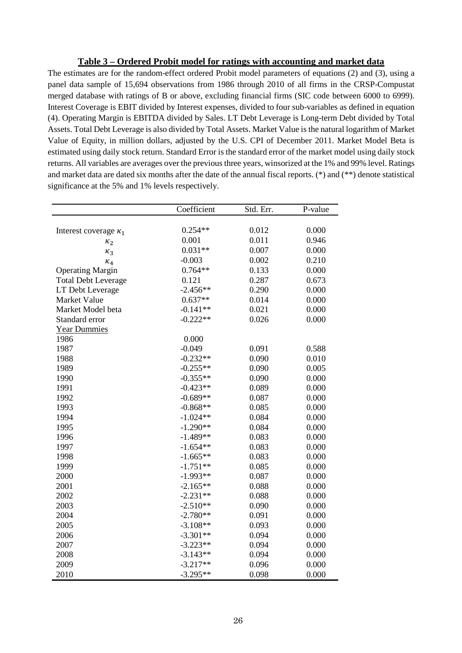### **Table 3 – Ordered Probit model for ratings with accounting and market data**

The estimates are for the random-effect ordered Probit model parameters of equations (2) and (3), using a panel data sample of 15,694 observations from 1986 through 2010 of all firms in the CRSP-Compustat merged database with ratings of B or above, excluding financial firms (SIC code between 6000 to 6999). Interest Coverage is EBIT divided by Interest expenses, divided to four sub-variables as defined in equation (4). Operating Margin is EBITDA divided by Sales. LT Debt Leverage is Long-term Debt divided by Total Assets. Total Debt Leverage is also divided by Total Assets. Market Value is the natural logarithm of Market Value of Equity, in million dollars, adjusted by the U.S. CPI of December 2011. Market Model Beta is estimated using daily stock return. Standard Error is the standard error of the market model using daily stock returns. All variables are averages over the previous three years, winsorized at the 1% and 99% level. Ratings and market data are dated six months after the date of the annual fiscal reports. (\*) and (\*\*) denote statistical significance at the 5% and 1% levels respectively.

|                              | Coefficient | Std. Err. | P-value |
|------------------------------|-------------|-----------|---------|
|                              |             |           |         |
| Interest coverage $\kappa_1$ | $0.254**$   | 0.012     | 0.000   |
| $\kappa_2$                   | 0.001       | 0.011     | 0.946   |
| $\kappa_3$                   | $0.031**$   | 0.007     | 0.000   |
| $\kappa_4$                   | $-0.003$    | 0.002     | 0.210   |
| <b>Operating Margin</b>      | $0.764**$   | 0.133     | 0.000   |
| <b>Total Debt Leverage</b>   | 0.121       | 0.287     | 0.673   |
| LT Debt Leverage             | $-2.456**$  | 0.290     | 0.000   |
| Market Value                 | $0.637**$   | 0.014     | 0.000   |
| Market Model beta            | $-0.141**$  | 0.021     | 0.000   |
| Standard error               | $-0.222**$  | 0.026     | 0.000   |
| <b>Year Dummies</b>          |             |           |         |
| 1986                         | 0.000       |           |         |
| 1987                         | $-0.049$    | 0.091     | 0.588   |
| 1988                         | $-0.232**$  | 0.090     | 0.010   |
| 1989                         | $-0.255**$  | 0.090     | 0.005   |
| 1990                         | $-0.355**$  | 0.090     | 0.000   |
| 1991                         | $-0.423**$  | 0.089     | 0.000   |
| 1992                         | $-0.689**$  | 0.087     | 0.000   |
| 1993                         | $-0.868**$  | 0.085     | 0.000   |
| 1994                         | $-1.024**$  | 0.084     | 0.000   |
| 1995                         | $-1.290**$  | 0.084     | 0.000   |
| 1996                         | $-1.489**$  | 0.083     | 0.000   |
| 1997                         | $-1.654**$  | 0.083     | 0.000   |
| 1998                         | $-1.665**$  | 0.083     | 0.000   |
| 1999                         | $-1.751**$  | 0.085     | 0.000   |
| 2000                         | $-1.993**$  | 0.087     | 0.000   |
| 2001                         | $-2.165**$  | 0.088     | 0.000   |
| 2002                         | $-2.231**$  | 0.088     | 0.000   |
| 2003                         | $-2.510**$  | 0.090     | 0.000   |
| 2004                         | $-2.780**$  | 0.091     | 0.000   |
| 2005                         | $-3.108**$  | 0.093     | 0.000   |
| 2006                         | $-3.301**$  | 0.094     | 0.000   |
| 2007                         | $-3.223**$  | 0.094     | 0.000   |
| 2008                         | $-3.143**$  | 0.094     | 0.000   |
| 2009                         | $-3.217**$  | 0.096     | 0.000   |
| 2010                         | $-3.295**$  | 0.098     | 0.000   |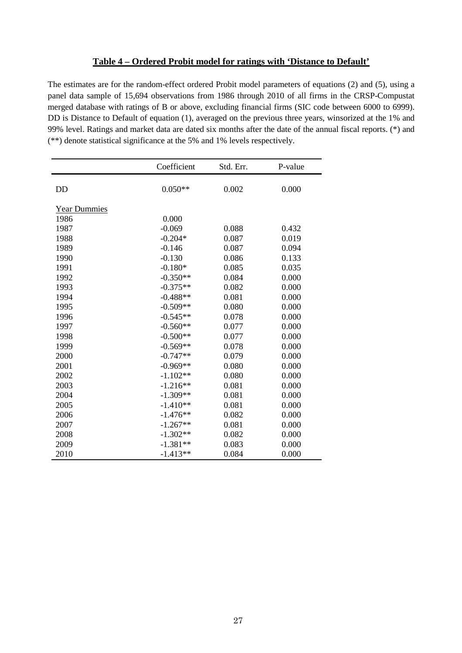## **Table 4 – Ordered Probit model for ratings with 'Distance to Default'**

The estimates are for the random-effect ordered Probit model parameters of equations (2) and (5), using a panel data sample of 15,694 observations from 1986 through 2010 of all firms in the CRSP-Compustat merged database with ratings of B or above, excluding financial firms (SIC code between 6000 to 6999). DD is Distance to Default of equation (1), averaged on the previous three years, winsorized at the 1% and 99% level. Ratings and market data are dated six months after the date of the annual fiscal reports. (\*) and (\*\*) denote statistical significance at the 5% and 1% levels respectively.

|                     | Coefficient | Std. Err. | P-value |
|---------------------|-------------|-----------|---------|
| <b>DD</b>           | $0.050**$   | 0.002     | 0.000   |
| <b>Year Dummies</b> |             |           |         |
| 1986                | 0.000       |           |         |
| 1987                | $-0.069$    | 0.088     | 0.432   |
| 1988                | $-0.204*$   | 0.087     | 0.019   |
| 1989                | $-0.146$    | 0.087     | 0.094   |
| 1990                | $-0.130$    | 0.086     | 0.133   |
| 1991                | $-0.180*$   | 0.085     | 0.035   |
| 1992                | $-0.350**$  | 0.084     | 0.000   |
| 1993                | $-0.375**$  | 0.082     | 0.000   |
| 1994                | $-0.488**$  | 0.081     | 0.000   |
| 1995                | $-0.509**$  | 0.080     | 0.000   |
| 1996                | $-0.545**$  | 0.078     | 0.000   |
| 1997                | $-0.560**$  | 0.077     | 0.000   |
| 1998                | $-0.500**$  | 0.077     | 0.000   |
| 1999                | $-0.569**$  | 0.078     | 0.000   |
| 2000                | $-0.747**$  | 0.079     | 0.000   |
| 2001                | $-0.969**$  | 0.080     | 0.000   |
| 2002                | $-1.102**$  | 0.080     | 0.000   |
| 2003                | $-1.216**$  | 0.081     | 0.000   |
| 2004                | $-1.309**$  | 0.081     | 0.000   |
| 2005                | $-1.410**$  | 0.081     | 0.000   |
| 2006                | $-1.476**$  | 0.082     | 0.000   |
| 2007                | $-1.267**$  | 0.081     | 0.000   |
| 2008                | $-1.302**$  | 0.082     | 0.000   |
| 2009                | $-1.381**$  | 0.083     | 0.000   |
| 2010                | $-1.413**$  | 0.084     | 0.000   |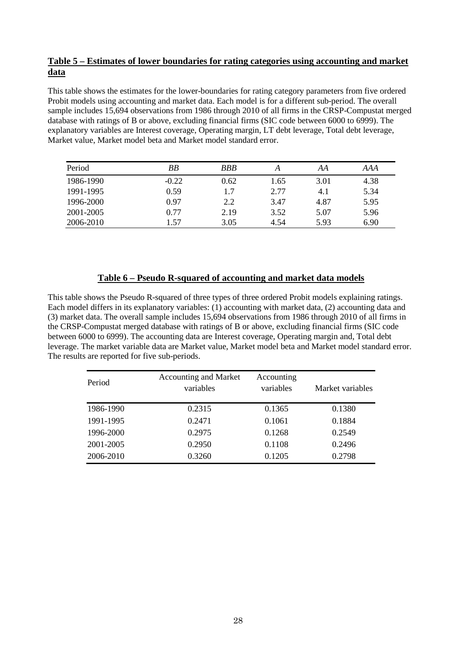## **Table 5 – Estimates of lower boundaries for rating categories using accounting and market data**

This table shows the estimates for the lower-boundaries for rating category parameters from five ordered Probit models using accounting and market data. Each model is for a different sub-period. The overall sample includes 15,694 observations from 1986 through 2010 of all firms in the CRSP-Compustat merged database with ratings of B or above, excluding financial firms (SIC code between 6000 to 6999). The explanatory variables are Interest coverage, Operating margin, LT debt leverage, Total debt leverage, Market value, Market model beta and Market model standard error.

| Period    | BB      | <b>BBB</b> | А    | AA   | AAA  |
|-----------|---------|------------|------|------|------|
| 1986-1990 | $-0.22$ | 0.62       | 1.65 | 3.01 | 4.38 |
| 1991-1995 | 0.59    | 1.7        | 2.77 | 4.1  | 5.34 |
| 1996-2000 | 0.97    | 2.2        | 3.47 | 4.87 | 5.95 |
| 2001-2005 | 0.77    | 2.19       | 3.52 | 5.07 | 5.96 |
| 2006-2010 | 1.57    | 3.05       | 4.54 | 5.93 | 6.90 |

## **Table 6 – Pseudo R-squared of accounting and market data models**

This table shows the Pseudo R-squared of three types of three ordered Probit models explaining ratings. Each model differs in its explanatory variables: (1) accounting with market data, (2) accounting data and (3) market data. The overall sample includes 15,694 observations from 1986 through 2010 of all firms in the CRSP-Compustat merged database with ratings of B or above, excluding financial firms (SIC code between 6000 to 6999). The accounting data are Interest coverage, Operating margin and, Total debt leverage. The market variable data are Market value, Market model beta and Market model standard error. The results are reported for five sub-periods.

| Period    | <b>Accounting and Market</b><br>variables | Accounting<br>variables | Market variables |
|-----------|-------------------------------------------|-------------------------|------------------|
| 1986-1990 | 0.2315                                    | 0.1365                  | 0.1380           |
| 1991-1995 | 0.2471                                    | 0.1061                  | 0.1884           |
| 1996-2000 | 0.2975                                    | 0.1268                  | 0.2549           |
| 2001-2005 | 0.2950                                    | 0.1108                  | 0.2496           |
| 2006-2010 | 0.3260                                    | 0.1205                  | 0.2798           |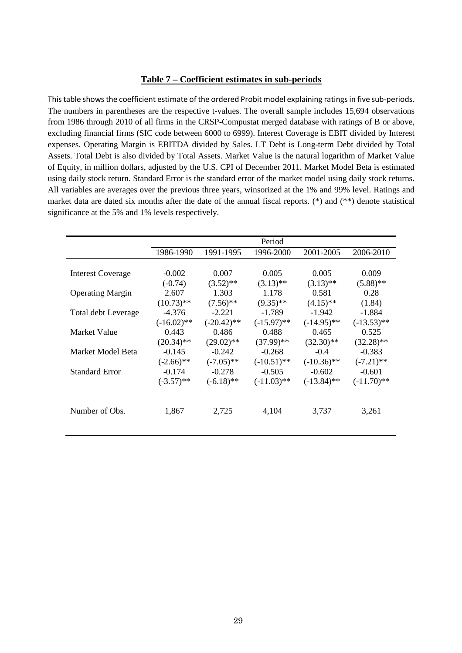#### **Table 7 – Coefficient estimates in sub-periods**

This table shows the coefficient estimate of the ordered Probit model explaining ratings in five sub-periods. The numbers in parentheses are the respective t-values. The overall sample includes 15,694 observations from 1986 through 2010 of all firms in the CRSP-Compustat merged database with ratings of B or above, excluding financial firms (SIC code between 6000 to 6999). Interest Coverage is EBIT divided by Interest expenses. Operating Margin is EBITDA divided by Sales. LT Debt is Long-term Debt divided by Total Assets. Total Debt is also divided by Total Assets. Market Value is the natural logarithm of Market Value of Equity, in million dollars, adjusted by the U.S. CPI of December 2011. Market Model Beta is estimated using daily stock return. Standard Error is the standard error of the market model using daily stock returns. All variables are averages over the previous three years, winsorized at the 1% and 99% level. Ratings and market data are dated six months after the date of the annual fiscal reports. (\*) and (\*\*) denote statistical significance at the 5% and 1% levels respectively.

|                          |               |               | Period        |               |               |
|--------------------------|---------------|---------------|---------------|---------------|---------------|
|                          | 1986-1990     | 1991-1995     | 1996-2000     | 2001-2005     | 2006-2010     |
|                          |               |               |               |               |               |
| <b>Interest Coverage</b> | $-0.002$      | 0.007         | 0.005         | 0.005         | 0.009         |
|                          | $(-0.74)$     | $(3.52)$ **   | $(3.13)$ **   | $(3.13)$ **   | $(5.88)$ **   |
| <b>Operating Margin</b>  | 2.607         | 1.303         | 1.178         | 0.581         | 0.28          |
|                          | $(10.73)$ **  | $(7.56)$ **   | $(9.35)$ **   | $(4.15)$ **   | (1.84)        |
| Total debt Leverage      | $-4.376$      | $-2.221$      | $-1.789$      | $-1.942$      | $-1.884$      |
|                          | $(-16.02)$ ** | $(-20.42)$ ** | $(-15.97)$ ** | $(-14.95)$ ** | $(-13.53)$ ** |
| Market Value             | 0.443         | 0.486         | 0.488         | 0.465         | 0.525         |
|                          | $(20.34)$ **  | $(29.02)$ **  | $(37.99)$ **  | $(32.30)$ **  | $(32.28)$ **  |
| Market Model Beta        | $-0.145$      | $-0.242$      | $-0.268$      | $-0.4$        | $-0.383$      |
|                          | $(-2.66)$ **  | $(-7.05)$ **  | $(-10.51)$ ** | $(-10.36)$ ** | $(-7.21)$ **  |
| <b>Standard Error</b>    | $-0.174$      | $-0.278$      | $-0.505$      | $-0.602$      | $-0.601$      |
|                          | $(-3.57)$ **  | $(-6.18)$ **  | $(-11.03)$ ** | $(-13.84)$ ** | $(-11.70)$ ** |
|                          |               |               |               |               |               |
|                          |               |               |               |               |               |
| Number of Obs.           | 1,867         | 2,725         | 4,104         | 3,737         | 3,261         |
|                          |               |               |               |               |               |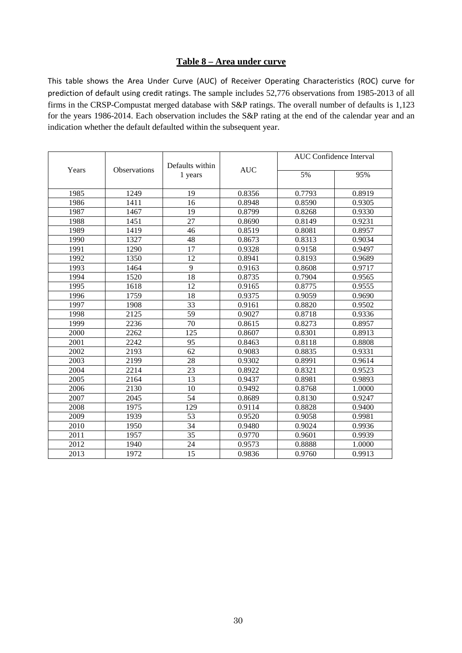## **Table 8 – Area under curve**

This table shows the Area Under Curve (AUC) of Receiver Operating Characteristics (ROC) curve for prediction of default using credit ratings. The sample includes 52,776 observations from 1985-2013 of all firms in the CRSP-Compustat merged database with S&P ratings. The overall number of defaults is 1,123 for the years 1986-2014. Each observation includes the S&P rating at the end of the calendar year and an indication whether the default defaulted within the subsequent year.

|       |                     | Defaults within |            | <b>AUC</b> Confidence Interval |        |  |
|-------|---------------------|-----------------|------------|--------------------------------|--------|--|
| Years | <b>Observations</b> | 1 years         | <b>AUC</b> | 5%                             | 95%    |  |
| 1985  | 1249                | 19              | 0.8356     | 0.7793                         | 0.8919 |  |
| 1986  | 1411                | 16              | 0.8948     | 0.8590                         | 0.9305 |  |
| 1987  | 1467                | 19              | 0.8799     | 0.8268                         | 0.9330 |  |
| 1988  | 1451                | $\overline{27}$ | 0.8690     | 0.8149                         | 0.9231 |  |
| 1989  | 1419                | 46              | 0.8519     | 0.8081                         | 0.8957 |  |
| 1990  | 1327                | 48              | 0.8673     | 0.8313                         | 0.9034 |  |
| 1991  | 1290                | 17              | 0.9328     | 0.9158                         | 0.9497 |  |
| 1992  | 1350                | 12              | 0.8941     | 0.8193                         | 0.9689 |  |
| 1993  | 1464                | 9               | 0.9163     | 0.8608                         | 0.9717 |  |
| 1994  | 1520                | 18              | 0.8735     | 0.7904                         | 0.9565 |  |
| 1995  | 1618                | 12              | 0.9165     | 0.8775                         | 0.9555 |  |
| 1996  | 1759                | 18              | 0.9375     | 0.9059                         | 0.9690 |  |
| 1997  | 1908                | 33              | 0.9161     | 0.8820                         | 0.9502 |  |
| 1998  | 2125                | 59              | 0.9027     | 0.8718                         | 0.9336 |  |
| 1999  | 2236                | 70              | 0.8615     | 0.8273                         | 0.8957 |  |
| 2000  | 2262                | 125             | 0.8607     | 0.8301                         | 0.8913 |  |
| 2001  | 2242                | 95              | 0.8463     | 0.8118                         | 0.8808 |  |
| 2002  | 2193                | 62              | 0.9083     | 0.8835                         | 0.9331 |  |
| 2003  | 2199                | 28              | 0.9302     | 0.8991                         | 0.9614 |  |
| 2004  | 2214                | 23              | 0.8922     | 0.8321                         | 0.9523 |  |
| 2005  | 2164                | $\overline{13}$ | 0.9437     | 0.8981                         | 0.9893 |  |
| 2006  | 2130                | 10              | 0.9492     | 0.8768                         | 1.0000 |  |
| 2007  | 2045                | 54              | 0.8689     | 0.8130                         | 0.9247 |  |
| 2008  | 1975                | 129             | 0.9114     | 0.8828                         | 0.9400 |  |
| 2009  | 1939                | 53              | 0.9520     | 0.9058                         | 0.9981 |  |
| 2010  | 1950                | 34              | 0.9480     | 0.9024                         | 0.9936 |  |
| 2011  | 1957                | 35              | 0.9770     | 0.9601                         | 0.9939 |  |
| 2012  | 1940                | 24              | 0.9573     | 0.8888                         | 1.0000 |  |
| 2013  | 1972                | 15              | 0.9836     | 0.9760                         | 0.9913 |  |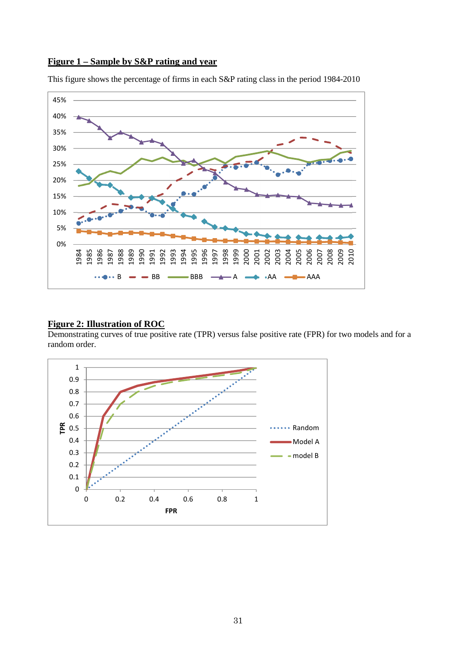### **Figure 1 – Sample by S&P rating and year**



This figure shows the percentage of firms in each S&P rating class in the period 1984-2010

## **Figure 2: Illustration of ROC**

Demonstrating curves of true positive rate (TPR) versus false positive rate (FPR) for two models and for a random order.

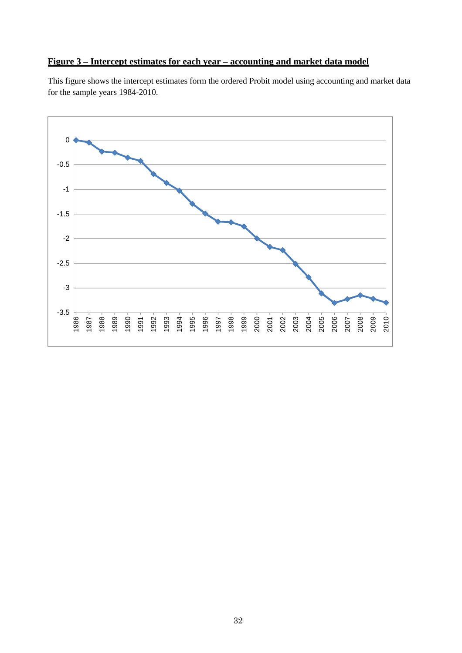## **Figure 3 – Intercept estimates for each year – accounting and market data model**

This figure shows the intercept estimates form the ordered Probit model using accounting and market data for the sample years 1984-2010.

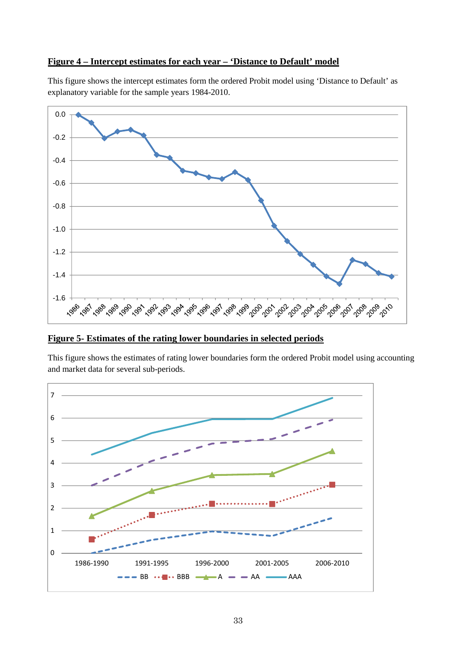## **Figure 4 – Intercept estimates for each year – 'Distance to Default' model**

This figure shows the intercept estimates form the ordered Probit model using 'Distance to Default' as explanatory variable for the sample years 1984-2010.



**Figure 5- Estimates of the rating lower boundaries in selected periods** 

This figure shows the estimates of rating lower boundaries form the ordered Probit model using accounting and market data for several sub-periods.

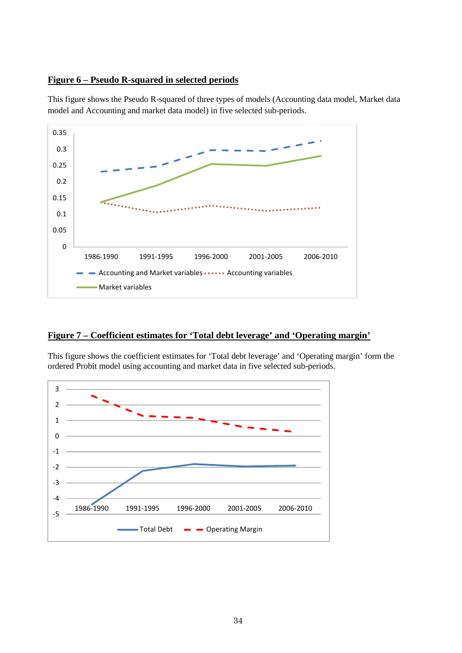## **Figure 6 – Pseudo R-squared in selected periods**

This figure shows the Pseudo R-squared of three types of models (Accounting data model, Market data model and Accounting and market data model) in five selected sub-periods.



## **Figure 7 – Coefficient estimates for 'Total debt leverage' and 'Operating margin'**

This figure shows the coefficient estimates for 'Total debt leverage' and 'Operating margin' form the ordered Probit model using accounting and market data in five selected sub-periods.